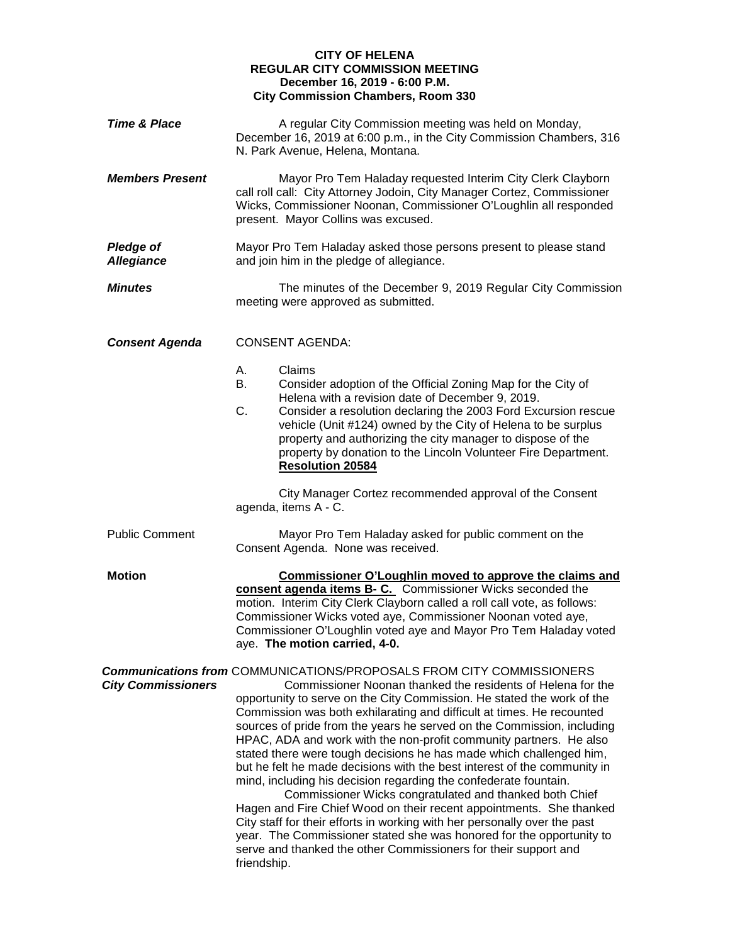## **CITY OF HELENA REGULAR CITY COMMISSION MEETING December 16, 2019 - 6:00 P.M. City Commission Chambers, Room 330**

| <b>Time &amp; Place</b>               | A regular City Commission meeting was held on Monday,<br>December 16, 2019 at 6:00 p.m., in the City Commission Chambers, 316<br>N. Park Avenue, Helena, Montana.                                                                                                                                                                                                                                                                                                                                                                                                                                                                                                                                                                                                                                                                                                                                                                                                                                                                             |
|---------------------------------------|-----------------------------------------------------------------------------------------------------------------------------------------------------------------------------------------------------------------------------------------------------------------------------------------------------------------------------------------------------------------------------------------------------------------------------------------------------------------------------------------------------------------------------------------------------------------------------------------------------------------------------------------------------------------------------------------------------------------------------------------------------------------------------------------------------------------------------------------------------------------------------------------------------------------------------------------------------------------------------------------------------------------------------------------------|
| <b>Members Present</b>                | Mayor Pro Tem Haladay requested Interim City Clerk Clayborn<br>call roll call: City Attorney Jodoin, City Manager Cortez, Commissioner<br>Wicks, Commissioner Noonan, Commissioner O'Loughlin all responded<br>present. Mayor Collins was excused.                                                                                                                                                                                                                                                                                                                                                                                                                                                                                                                                                                                                                                                                                                                                                                                            |
| <b>Pledge of</b><br><b>Allegiance</b> | Mayor Pro Tem Haladay asked those persons present to please stand<br>and join him in the pledge of allegiance.                                                                                                                                                                                                                                                                                                                                                                                                                                                                                                                                                                                                                                                                                                                                                                                                                                                                                                                                |
| <b>Minutes</b>                        | The minutes of the December 9, 2019 Regular City Commission<br>meeting were approved as submitted.                                                                                                                                                                                                                                                                                                                                                                                                                                                                                                                                                                                                                                                                                                                                                                                                                                                                                                                                            |
| <b>Consent Agenda</b>                 | <b>CONSENT AGENDA:</b>                                                                                                                                                                                                                                                                                                                                                                                                                                                                                                                                                                                                                                                                                                                                                                                                                                                                                                                                                                                                                        |
|                                       | Claims<br>А.<br>В.<br>Consider adoption of the Official Zoning Map for the City of<br>Helena with a revision date of December 9, 2019.<br>C.<br>Consider a resolution declaring the 2003 Ford Excursion rescue<br>vehicle (Unit #124) owned by the City of Helena to be surplus<br>property and authorizing the city manager to dispose of the<br>property by donation to the Lincoln Volunteer Fire Department.<br><b>Resolution 20584</b>                                                                                                                                                                                                                                                                                                                                                                                                                                                                                                                                                                                                   |
|                                       | City Manager Cortez recommended approval of the Consent<br>agenda, items A - C.                                                                                                                                                                                                                                                                                                                                                                                                                                                                                                                                                                                                                                                                                                                                                                                                                                                                                                                                                               |
| <b>Public Comment</b>                 | Mayor Pro Tem Haladay asked for public comment on the<br>Consent Agenda. None was received.                                                                                                                                                                                                                                                                                                                                                                                                                                                                                                                                                                                                                                                                                                                                                                                                                                                                                                                                                   |
| <b>Motion</b>                         | <b>Commissioner O'Loughlin moved to approve the claims and</b><br>consent agenda items B- C. Commissioner Wicks seconded the<br>motion. Interim City Clerk Clayborn called a roll call vote, as follows:<br>Commissioner Wicks voted aye, Commissioner Noonan voted aye,<br>Commissioner O'Loughlin voted aye and Mayor Pro Tem Haladay voted<br>aye. The motion carried, 4-0.                                                                                                                                                                                                                                                                                                                                                                                                                                                                                                                                                                                                                                                                |
| <b>City Commissioners</b>             | <b>Communications from COMMUNICATIONS/PROPOSALS FROM CITY COMMISSIONERS</b><br>Commissioner Noonan thanked the residents of Helena for the<br>opportunity to serve on the City Commission. He stated the work of the<br>Commission was both exhilarating and difficult at times. He recounted<br>sources of pride from the years he served on the Commission, including<br>HPAC, ADA and work with the non-profit community partners. He also<br>stated there were tough decisions he has made which challenged him,<br>but he felt he made decisions with the best interest of the community in<br>mind, including his decision regarding the confederate fountain.<br>Commissioner Wicks congratulated and thanked both Chief<br>Hagen and Fire Chief Wood on their recent appointments. She thanked<br>City staff for their efforts in working with her personally over the past<br>year. The Commissioner stated she was honored for the opportunity to<br>serve and thanked the other Commissioners for their support and<br>friendship. |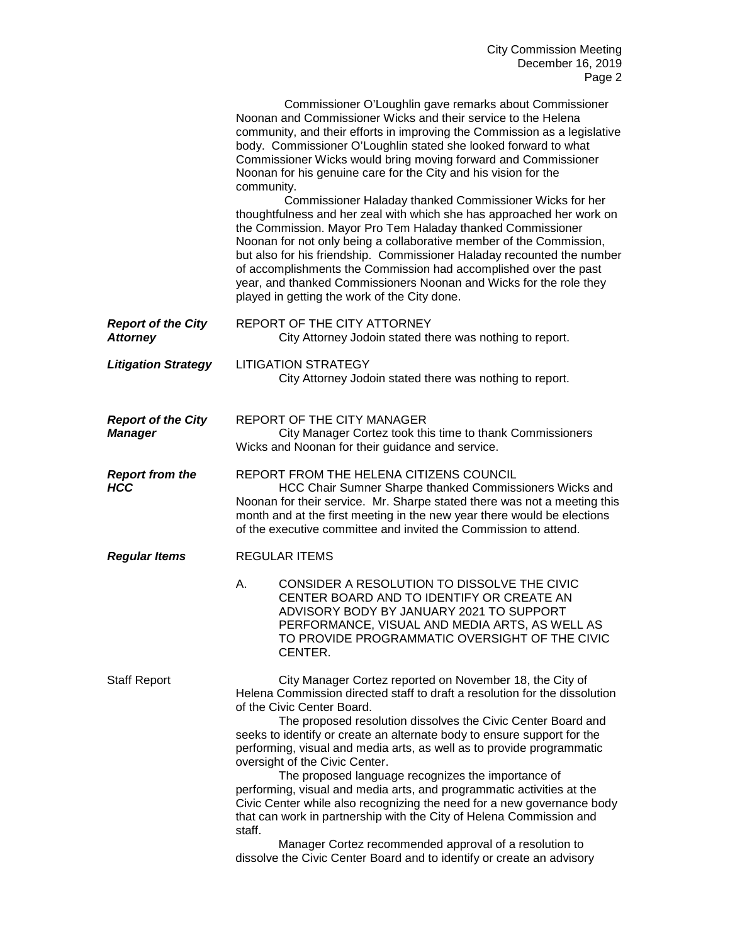|                                              | Commissioner O'Loughlin gave remarks about Commissioner<br>Noonan and Commissioner Wicks and their service to the Helena<br>community, and their efforts in improving the Commission as a legislative<br>body. Commissioner O'Loughlin stated she looked forward to what<br>Commissioner Wicks would bring moving forward and Commissioner<br>Noonan for his genuine care for the City and his vision for the<br>community.<br>Commissioner Haladay thanked Commissioner Wicks for her<br>thoughtfulness and her zeal with which she has approached her work on<br>the Commission. Mayor Pro Tem Haladay thanked Commissioner<br>Noonan for not only being a collaborative member of the Commission,<br>but also for his friendship. Commissioner Haladay recounted the number<br>of accomplishments the Commission had accomplished over the past<br>year, and thanked Commissioners Noonan and Wicks for the role they<br>played in getting the work of the City done. |
|----------------------------------------------|--------------------------------------------------------------------------------------------------------------------------------------------------------------------------------------------------------------------------------------------------------------------------------------------------------------------------------------------------------------------------------------------------------------------------------------------------------------------------------------------------------------------------------------------------------------------------------------------------------------------------------------------------------------------------------------------------------------------------------------------------------------------------------------------------------------------------------------------------------------------------------------------------------------------------------------------------------------------------|
| <b>Report of the City</b><br><b>Attorney</b> | REPORT OF THE CITY ATTORNEY<br>City Attorney Jodoin stated there was nothing to report.                                                                                                                                                                                                                                                                                                                                                                                                                                                                                                                                                                                                                                                                                                                                                                                                                                                                                  |
| <b>Litigation Strategy</b>                   | <b>LITIGATION STRATEGY</b><br>City Attorney Jodoin stated there was nothing to report.                                                                                                                                                                                                                                                                                                                                                                                                                                                                                                                                                                                                                                                                                                                                                                                                                                                                                   |
| <b>Report of the City</b><br><b>Manager</b>  | REPORT OF THE CITY MANAGER<br>City Manager Cortez took this time to thank Commissioners<br>Wicks and Noonan for their guidance and service.                                                                                                                                                                                                                                                                                                                                                                                                                                                                                                                                                                                                                                                                                                                                                                                                                              |
| <b>Report from the</b><br><b>HCC</b>         | REPORT FROM THE HELENA CITIZENS COUNCIL<br>HCC Chair Sumner Sharpe thanked Commissioners Wicks and<br>Noonan for their service. Mr. Sharpe stated there was not a meeting this<br>month and at the first meeting in the new year there would be elections<br>of the executive committee and invited the Commission to attend.                                                                                                                                                                                                                                                                                                                                                                                                                                                                                                                                                                                                                                            |
| <b>Regular Items</b>                         | <b>REGULAR ITEMS</b>                                                                                                                                                                                                                                                                                                                                                                                                                                                                                                                                                                                                                                                                                                                                                                                                                                                                                                                                                     |
|                                              | CONSIDER A RESOLUTION TO DISSOLVE THE CIVIC<br>Α.<br>CENTER BOARD AND TO IDENTIFY OR CREATE AN<br>ADVISORY BODY BY JANUARY 2021 TO SUPPORT<br>PERFORMANCE, VISUAL AND MEDIA ARTS, AS WELL AS<br>TO PROVIDE PROGRAMMATIC OVERSIGHT OF THE CIVIC<br>CENTER.                                                                                                                                                                                                                                                                                                                                                                                                                                                                                                                                                                                                                                                                                                                |
| <b>Staff Report</b>                          | City Manager Cortez reported on November 18, the City of<br>Helena Commission directed staff to draft a resolution for the dissolution<br>of the Civic Center Board.<br>The proposed resolution dissolves the Civic Center Board and<br>seeks to identify or create an alternate body to ensure support for the<br>performing, visual and media arts, as well as to provide programmatic<br>oversight of the Civic Center.<br>The proposed language recognizes the importance of<br>performing, visual and media arts, and programmatic activities at the<br>Civic Center while also recognizing the need for a new governance body<br>that can work in partnership with the City of Helena Commission and<br>staff.<br>Manager Cortez recommended approval of a resolution to<br>dissolve the Civic Center Board and to identify or create an advisory                                                                                                                  |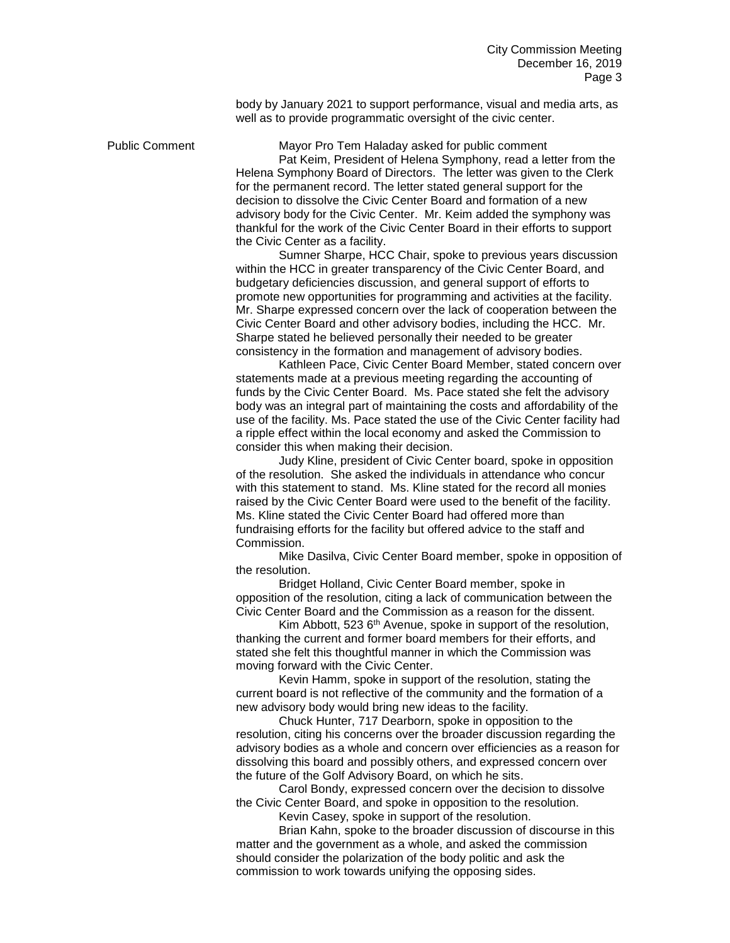body by January 2021 to support performance, visual and media arts, as well as to provide programmatic oversight of the civic center.

Public Comment Mayor Pro Tem Haladay asked for public comment

Pat Keim, President of Helena Symphony, read a letter from the Helena Symphony Board of Directors. The letter was given to the Clerk for the permanent record. The letter stated general support for the decision to dissolve the Civic Center Board and formation of a new advisory body for the Civic Center. Mr. Keim added the symphony was thankful for the work of the Civic Center Board in their efforts to support the Civic Center as a facility.

Sumner Sharpe, HCC Chair, spoke to previous years discussion within the HCC in greater transparency of the Civic Center Board, and budgetary deficiencies discussion, and general support of efforts to promote new opportunities for programming and activities at the facility. Mr. Sharpe expressed concern over the lack of cooperation between the Civic Center Board and other advisory bodies, including the HCC. Mr. Sharpe stated he believed personally their needed to be greater consistency in the formation and management of advisory bodies.

Kathleen Pace, Civic Center Board Member, stated concern over statements made at a previous meeting regarding the accounting of funds by the Civic Center Board. Ms. Pace stated she felt the advisory body was an integral part of maintaining the costs and affordability of the use of the facility. Ms. Pace stated the use of the Civic Center facility had a ripple effect within the local economy and asked the Commission to consider this when making their decision.

Judy Kline, president of Civic Center board, spoke in opposition of the resolution. She asked the individuals in attendance who concur with this statement to stand. Ms. Kline stated for the record all monies raised by the Civic Center Board were used to the benefit of the facility. Ms. Kline stated the Civic Center Board had offered more than fundraising efforts for the facility but offered advice to the staff and Commission.

Mike Dasilva, Civic Center Board member, spoke in opposition of the resolution.

Bridget Holland, Civic Center Board member, spoke in opposition of the resolution, citing a lack of communication between the Civic Center Board and the Commission as a reason for the dissent.

Kim Abbott, 523 6th Avenue, spoke in support of the resolution, thanking the current and former board members for their efforts, and stated she felt this thoughtful manner in which the Commission was moving forward with the Civic Center.

Kevin Hamm, spoke in support of the resolution, stating the current board is not reflective of the community and the formation of a new advisory body would bring new ideas to the facility.

Chuck Hunter, 717 Dearborn, spoke in opposition to the resolution, citing his concerns over the broader discussion regarding the advisory bodies as a whole and concern over efficiencies as a reason for dissolving this board and possibly others, and expressed concern over the future of the Golf Advisory Board, on which he sits.

Carol Bondy, expressed concern over the decision to dissolve the Civic Center Board, and spoke in opposition to the resolution.

Kevin Casey, spoke in support of the resolution.

Brian Kahn, spoke to the broader discussion of discourse in this matter and the government as a whole, and asked the commission should consider the polarization of the body politic and ask the commission to work towards unifying the opposing sides.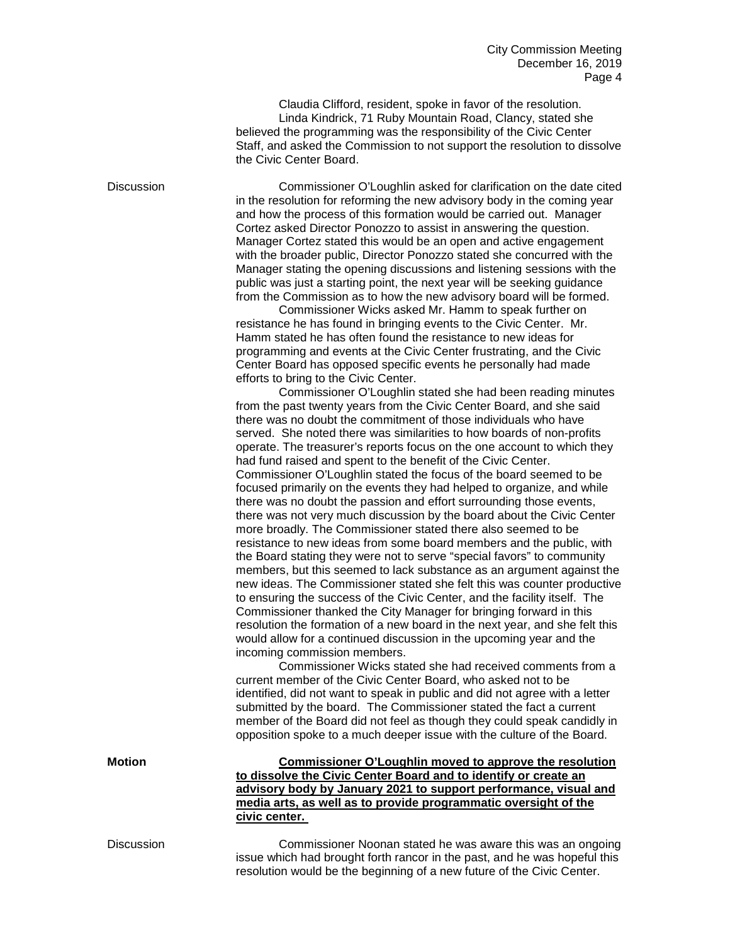Claudia Clifford, resident, spoke in favor of the resolution. Linda Kindrick, 71 Ruby Mountain Road, Clancy, stated she believed the programming was the responsibility of the Civic Center Staff, and asked the Commission to not support the resolution to dissolve the Civic Center Board.

Discussion Commissioner O'Loughlin asked for clarification on the date cited in the resolution for reforming the new advisory body in the coming year and how the process of this formation would be carried out. Manager Cortez asked Director Ponozzo to assist in answering the question. Manager Cortez stated this would be an open and active engagement with the broader public, Director Ponozzo stated she concurred with the Manager stating the opening discussions and listening sessions with the public was just a starting point, the next year will be seeking guidance from the Commission as to how the new advisory board will be formed. Commissioner Wicks asked Mr. Hamm to speak further on resistance he has found in bringing events to the Civic Center. Mr. Hamm stated he has often found the resistance to new ideas for programming and events at the Civic Center frustrating, and the Civic Center Board has opposed specific events he personally had made efforts to bring to the Civic Center. Commissioner O'Loughlin stated she had been reading minutes from the past twenty years from the Civic Center Board, and she said

there was no doubt the commitment of those individuals who have served. She noted there was similarities to how boards of non-profits operate. The treasurer's reports focus on the one account to which they had fund raised and spent to the benefit of the Civic Center. Commissioner O'Loughlin stated the focus of the board seemed to be focused primarily on the events they had helped to organize, and while there was no doubt the passion and effort surrounding those events, there was not very much discussion by the board about the Civic Center more broadly. The Commissioner stated there also seemed to be resistance to new ideas from some board members and the public, with the Board stating they were not to serve "special favors" to community members, but this seemed to lack substance as an argument against the new ideas. The Commissioner stated she felt this was counter productive to ensuring the success of the Civic Center, and the facility itself. The Commissioner thanked the City Manager for bringing forward in this resolution the formation of a new board in the next year, and she felt this would allow for a continued discussion in the upcoming year and the incoming commission members.

Commissioner Wicks stated she had received comments from a current member of the Civic Center Board, who asked not to be identified, did not want to speak in public and did not agree with a letter submitted by the board. The Commissioner stated the fact a current member of the Board did not feel as though they could speak candidly in opposition spoke to a much deeper issue with the culture of the Board.

**Motion Commissioner O'Loughlin moved to approve the resolution to dissolve the Civic Center Board and to identify or create an advisory body by January 2021 to support performance, visual and media arts, as well as to provide programmatic oversight of the civic center.**

Discussion Commissioner Noonan stated he was aware this was an ongoing issue which had brought forth rancor in the past, and he was hopeful this resolution would be the beginning of a new future of the Civic Center.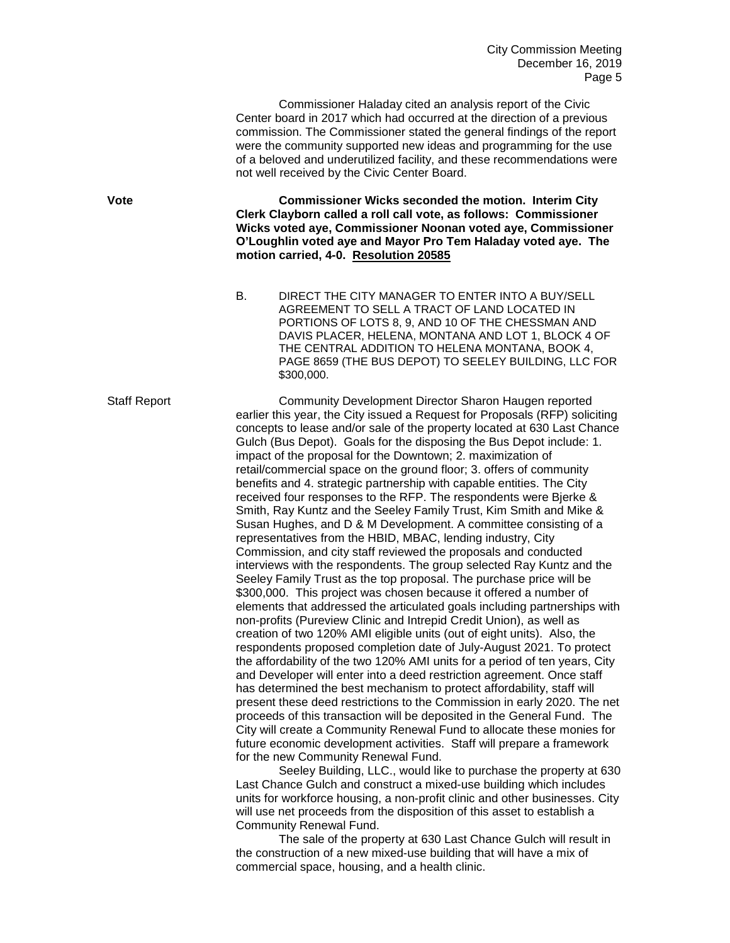Commissioner Haladay cited an analysis report of the Civic Center board in 2017 which had occurred at the direction of a previous commission. The Commissioner stated the general findings of the report were the community supported new ideas and programming for the use of a beloved and underutilized facility, and these recommendations were not well received by the Civic Center Board.

**Vote Commissioner Wicks seconded the motion. Interim City Clerk Clayborn called a roll call vote, as follows: Commissioner Wicks voted aye, Commissioner Noonan voted aye, Commissioner O'Loughlin voted aye and Mayor Pro Tem Haladay voted aye. The motion carried, 4-0. Resolution 20585**

> B. DIRECT THE CITY MANAGER TO ENTER INTO A BUY/SELL AGREEMENT TO SELL A TRACT OF LAND LOCATED IN PORTIONS OF LOTS 8, 9, AND 10 OF THE CHESSMAN AND DAVIS PLACER, HELENA, MONTANA AND LOT 1, BLOCK 4 OF THE CENTRAL ADDITION TO HELENA MONTANA, BOOK 4, PAGE 8659 (THE BUS DEPOT) TO SEELEY BUILDING, LLC FOR \$300,000.

Staff Report Community Development Director Sharon Haugen reported earlier this year, the City issued a Request for Proposals (RFP) soliciting concepts to lease and/or sale of the property located at 630 Last Chance Gulch (Bus Depot). Goals for the disposing the Bus Depot include: 1. impact of the proposal for the Downtown; 2. maximization of retail/commercial space on the ground floor; 3. offers of community benefits and 4. strategic partnership with capable entities. The City received four responses to the RFP. The respondents were Bjerke & Smith, Ray Kuntz and the Seeley Family Trust, Kim Smith and Mike & Susan Hughes, and D & M Development. A committee consisting of a representatives from the HBID, MBAC, lending industry, City Commission, and city staff reviewed the proposals and conducted interviews with the respondents. The group selected Ray Kuntz and the Seeley Family Trust as the top proposal. The purchase price will be \$300,000. This project was chosen because it offered a number of elements that addressed the articulated goals including partnerships with non-profits (Pureview Clinic and Intrepid Credit Union), as well as creation of two 120% AMI eligible units (out of eight units). Also, the respondents proposed completion date of July-August 2021. To protect the affordability of the two 120% AMI units for a period of ten years, City and Developer will enter into a deed restriction agreement. Once staff has determined the best mechanism to protect affordability, staff will present these deed restrictions to the Commission in early 2020. The net proceeds of this transaction will be deposited in the General Fund. The City will create a Community Renewal Fund to allocate these monies for future economic development activities. Staff will prepare a framework for the new Community Renewal Fund.

> Seeley Building, LLC., would like to purchase the property at 630 Last Chance Gulch and construct a mixed-use building which includes units for workforce housing, a non-profit clinic and other businesses. City will use net proceeds from the disposition of this asset to establish a Community Renewal Fund.

The sale of the property at 630 Last Chance Gulch will result in the construction of a new mixed-use building that will have a mix of commercial space, housing, and a health clinic.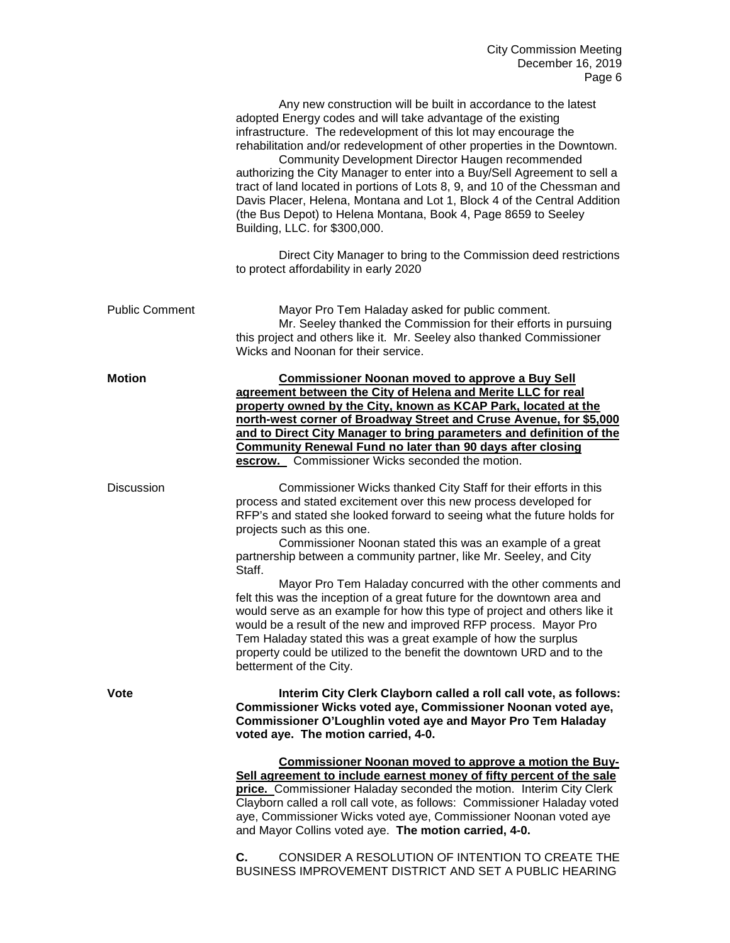|                       | Any new construction will be built in accordance to the latest<br>adopted Energy codes and will take advantage of the existing<br>infrastructure. The redevelopment of this lot may encourage the<br>rehabilitation and/or redevelopment of other properties in the Downtown.<br>Community Development Director Haugen recommended<br>authorizing the City Manager to enter into a Buy/Sell Agreement to sell a<br>tract of land located in portions of Lots 8, 9, and 10 of the Chessman and<br>Davis Placer, Helena, Montana and Lot 1, Block 4 of the Central Addition<br>(the Bus Depot) to Helena Montana, Book 4, Page 8659 to Seeley<br>Building, LLC. for \$300,000.                                                                                                                                                                                |
|-----------------------|-------------------------------------------------------------------------------------------------------------------------------------------------------------------------------------------------------------------------------------------------------------------------------------------------------------------------------------------------------------------------------------------------------------------------------------------------------------------------------------------------------------------------------------------------------------------------------------------------------------------------------------------------------------------------------------------------------------------------------------------------------------------------------------------------------------------------------------------------------------|
|                       | Direct City Manager to bring to the Commission deed restrictions<br>to protect affordability in early 2020                                                                                                                                                                                                                                                                                                                                                                                                                                                                                                                                                                                                                                                                                                                                                  |
| <b>Public Comment</b> | Mayor Pro Tem Haladay asked for public comment.<br>Mr. Seeley thanked the Commission for their efforts in pursuing<br>this project and others like it. Mr. Seeley also thanked Commissioner<br>Wicks and Noonan for their service.                                                                                                                                                                                                                                                                                                                                                                                                                                                                                                                                                                                                                          |
| <b>Motion</b>         | <b>Commissioner Noonan moved to approve a Buy Sell</b><br>agreement between the City of Helena and Merite LLC for real<br>property owned by the City, known as KCAP Park, located at the<br>north-west corner of Broadway Street and Cruse Avenue, for \$5,000<br>and to Direct City Manager to bring parameters and definition of the<br><b>Community Renewal Fund no later than 90 days after closing</b><br>escrow. Commissioner Wicks seconded the motion.                                                                                                                                                                                                                                                                                                                                                                                              |
| <b>Discussion</b>     | Commissioner Wicks thanked City Staff for their efforts in this<br>process and stated excitement over this new process developed for<br>RFP's and stated she looked forward to seeing what the future holds for<br>projects such as this one.<br>Commissioner Noonan stated this was an example of a great<br>partnership between a community partner, like Mr. Seeley, and City<br>Staff.<br>Mayor Pro Tem Haladay concurred with the other comments and<br>felt this was the inception of a great future for the downtown area and<br>would serve as an example for how this type of project and others like it<br>would be a result of the new and improved RFP process. Mayor Pro<br>Tem Haladay stated this was a great example of how the surplus<br>property could be utilized to the benefit the downtown URD and to the<br>betterment of the City. |
| <b>Vote</b>           | Interim City Clerk Clayborn called a roll call vote, as follows:<br>Commissioner Wicks voted aye, Commissioner Noonan voted aye,<br>Commissioner O'Loughlin voted aye and Mayor Pro Tem Haladay<br>voted aye. The motion carried, 4-0.                                                                                                                                                                                                                                                                                                                                                                                                                                                                                                                                                                                                                      |
|                       | Commissioner Noonan moved to approve a motion the Buy-<br>Sell agreement to include earnest money of fifty percent of the sale<br>price. Commissioner Haladay seconded the motion. Interim City Clerk<br>Clayborn called a roll call vote, as follows: Commissioner Haladay voted<br>aye, Commissioner Wicks voted aye, Commissioner Noonan voted aye<br>and Mayor Collins voted aye. The motion carried, 4-0.                                                                                                                                                                                                                                                                                                                                                                                                                                              |
|                       | CONSIDER A RESOLUTION OF INTENTION TO CREATE THE<br>C.<br>BUSINESS IMPROVEMENT DISTRICT AND SET A PUBLIC HEARING                                                                                                                                                                                                                                                                                                                                                                                                                                                                                                                                                                                                                                                                                                                                            |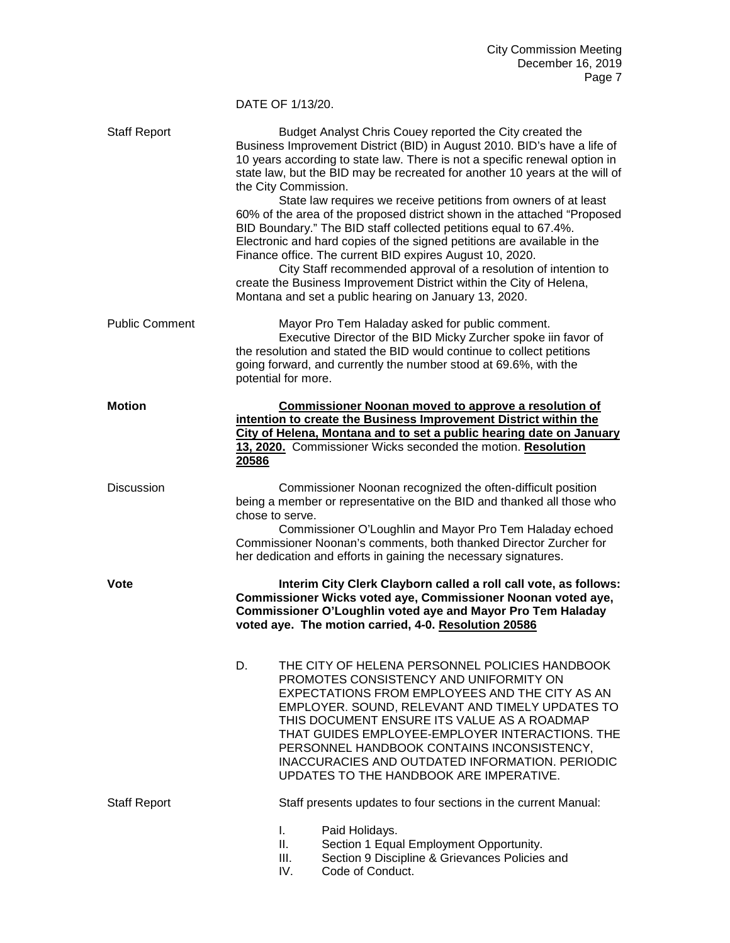## DATE OF 1/13/20.

| <b>Staff Report</b>   | Budget Analyst Chris Couey reported the City created the<br>Business Improvement District (BID) in August 2010. BID's have a life of<br>10 years according to state law. There is not a specific renewal option in<br>state law, but the BID may be recreated for another 10 years at the will of<br>the City Commission.<br>State law requires we receive petitions from owners of at least<br>60% of the area of the proposed district shown in the attached "Proposed<br>BID Boundary." The BID staff collected petitions equal to 67.4%.<br>Electronic and hard copies of the signed petitions are available in the<br>Finance office. The current BID expires August 10, 2020.<br>City Staff recommended approval of a resolution of intention to<br>create the Business Improvement District within the City of Helena,<br>Montana and set a public hearing on January 13, 2020. |
|-----------------------|----------------------------------------------------------------------------------------------------------------------------------------------------------------------------------------------------------------------------------------------------------------------------------------------------------------------------------------------------------------------------------------------------------------------------------------------------------------------------------------------------------------------------------------------------------------------------------------------------------------------------------------------------------------------------------------------------------------------------------------------------------------------------------------------------------------------------------------------------------------------------------------|
| <b>Public Comment</b> | Mayor Pro Tem Haladay asked for public comment.<br>Executive Director of the BID Micky Zurcher spoke iin favor of<br>the resolution and stated the BID would continue to collect petitions<br>going forward, and currently the number stood at 69.6%, with the<br>potential for more.                                                                                                                                                                                                                                                                                                                                                                                                                                                                                                                                                                                                  |
| <b>Motion</b>         | <b>Commissioner Noonan moved to approve a resolution of</b><br>intention to create the Business Improvement District within the<br>City of Helena, Montana and to set a public hearing date on January<br>13, 2020. Commissioner Wicks seconded the motion. Resolution<br>20586                                                                                                                                                                                                                                                                                                                                                                                                                                                                                                                                                                                                        |
| <b>Discussion</b>     | Commissioner Noonan recognized the often-difficult position<br>being a member or representative on the BID and thanked all those who<br>chose to serve.<br>Commissioner O'Loughlin and Mayor Pro Tem Haladay echoed<br>Commissioner Noonan's comments, both thanked Director Zurcher for<br>her dedication and efforts in gaining the necessary signatures.                                                                                                                                                                                                                                                                                                                                                                                                                                                                                                                            |
| <b>Vote</b>           | Interim City Clerk Clayborn called a roll call vote, as follows:<br>Commissioner Wicks voted aye, Commissioner Noonan voted aye,<br>Commissioner O'Loughlin voted aye and Mayor Pro Tem Haladay<br>voted aye. The motion carried, 4-0. Resolution 20586                                                                                                                                                                                                                                                                                                                                                                                                                                                                                                                                                                                                                                |
|                       | THE CITY OF HELENA PERSONNEL POLICIES HANDBOOK<br>D.<br>PROMOTES CONSISTENCY AND UNIFORMITY ON<br>EXPECTATIONS FROM EMPLOYEES AND THE CITY AS AN<br>EMPLOYER. SOUND, RELEVANT AND TIMELY UPDATES TO<br>THIS DOCUMENT ENSURE ITS VALUE AS A ROADMAP<br>THAT GUIDES EMPLOYEE-EMPLOYER INTERACTIONS. THE<br>PERSONNEL HANDBOOK CONTAINS INCONSISTENCY,<br>INACCURACIES AND OUTDATED INFORMATION. PERIODIC<br>UPDATES TO THE HANDBOOK ARE IMPERATIVE.                                                                                                                                                                                                                                                                                                                                                                                                                                      |
| <b>Staff Report</b>   | Staff presents updates to four sections in the current Manual:<br>L.<br>Paid Holidays.<br>Ш.<br>Section 1 Equal Employment Opportunity.<br>III.<br>Section 9 Discipline & Grievances Policies and<br>IV.<br>Code of Conduct.                                                                                                                                                                                                                                                                                                                                                                                                                                                                                                                                                                                                                                                           |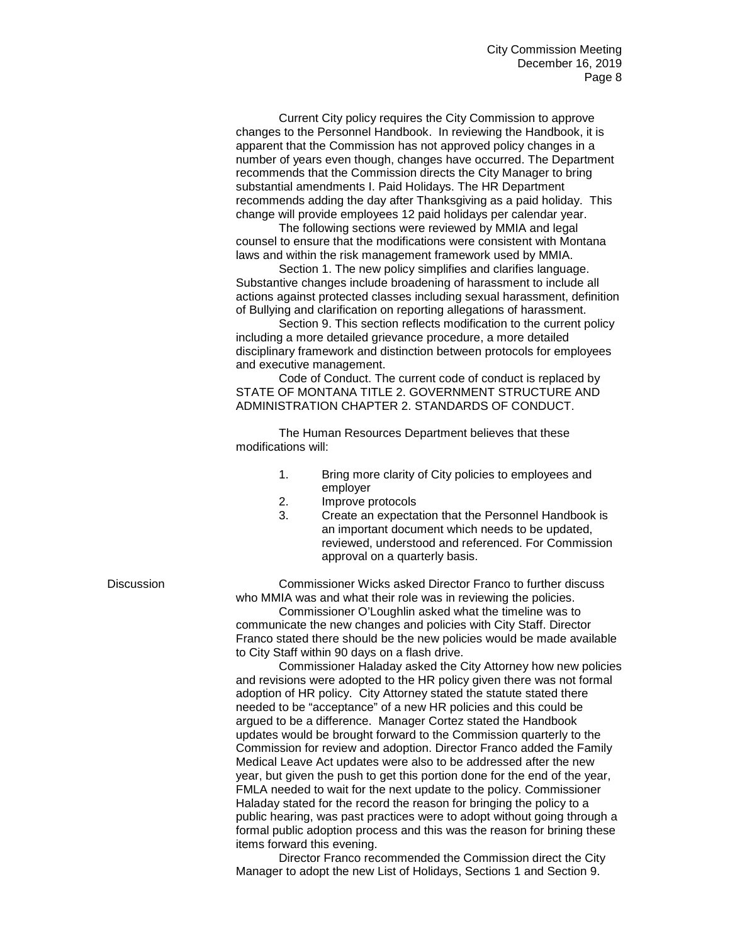Current City policy requires the City Commission to approve changes to the Personnel Handbook. In reviewing the Handbook, it is apparent that the Commission has not approved policy changes in a number of years even though, changes have occurred. The Department recommends that the Commission directs the City Manager to bring substantial amendments I. Paid Holidays. The HR Department recommends adding the day after Thanksgiving as a paid holiday. This change will provide employees 12 paid holidays per calendar year.

The following sections were reviewed by MMIA and legal counsel to ensure that the modifications were consistent with Montana laws and within the risk management framework used by MMIA.

Section 1. The new policy simplifies and clarifies language. Substantive changes include broadening of harassment to include all actions against protected classes including sexual harassment, definition of Bullying and clarification on reporting allegations of harassment.

Section 9. This section reflects modification to the current policy including a more detailed grievance procedure, a more detailed disciplinary framework and distinction between protocols for employees and executive management.

Code of Conduct. The current code of conduct is replaced by STATE OF MONTANA TITLE 2. GOVERNMENT STRUCTURE AND ADMINISTRATION CHAPTER 2. STANDARDS OF CONDUCT.

The Human Resources Department believes that these modifications will:

- 1. Bring more clarity of City policies to employees and employer
- 2. Improve protocols
- 3. Create an expectation that the Personnel Handbook is an important document which needs to be updated, reviewed, understood and referenced. For Commission approval on a quarterly basis.

Discussion Commissioner Wicks asked Director Franco to further discuss who MMIA was and what their role was in reviewing the policies.

> Commissioner O'Loughlin asked what the timeline was to communicate the new changes and policies with City Staff. Director Franco stated there should be the new policies would be made available to City Staff within 90 days on a flash drive.

> Commissioner Haladay asked the City Attorney how new policies and revisions were adopted to the HR policy given there was not formal adoption of HR policy. City Attorney stated the statute stated there needed to be "acceptance" of a new HR policies and this could be argued to be a difference. Manager Cortez stated the Handbook updates would be brought forward to the Commission quarterly to the Commission for review and adoption. Director Franco added the Family Medical Leave Act updates were also to be addressed after the new year, but given the push to get this portion done for the end of the year, FMLA needed to wait for the next update to the policy. Commissioner Haladay stated for the record the reason for bringing the policy to a public hearing, was past practices were to adopt without going through a formal public adoption process and this was the reason for brining these items forward this evening.

Director Franco recommended the Commission direct the City Manager to adopt the new List of Holidays, Sections 1 and Section 9.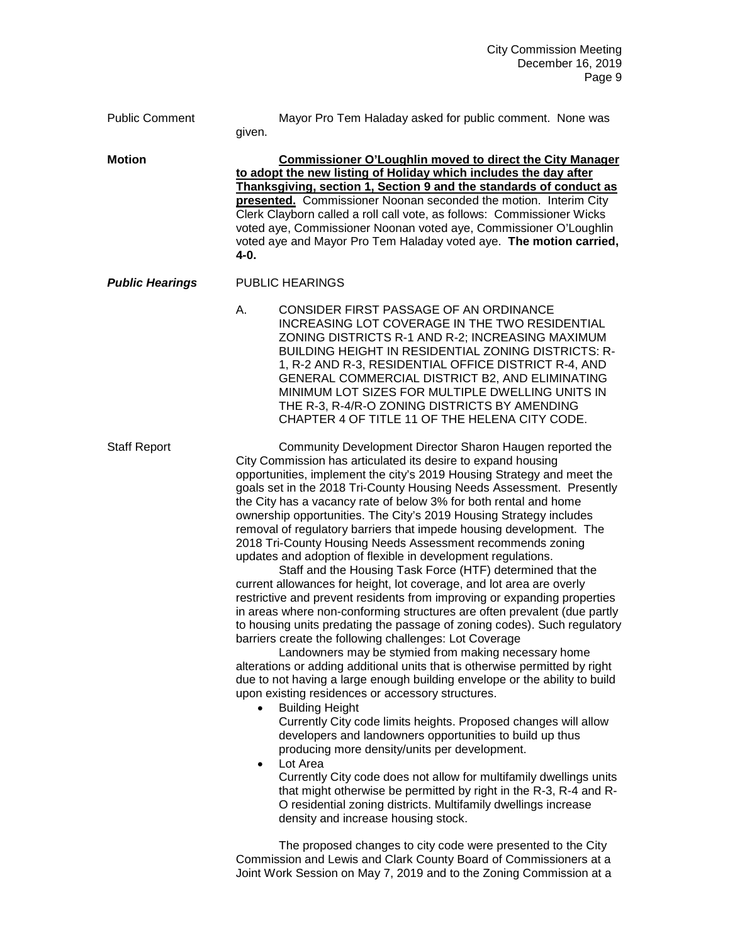Public Comment Mayor Pro Tem Haladay asked for public comment. None was

given.

**Motion Commissioner O'Loughlin moved to direct the City Manager to adopt the new listing of Holiday which includes the day after Thanksgiving, section 1, Section 9 and the standards of conduct as presented.** Commissioner Noonan seconded the motion. Interim City Clerk Clayborn called a roll call vote, as follows: Commissioner Wicks voted aye, Commissioner Noonan voted aye, Commissioner O'Loughlin voted aye and Mayor Pro Tem Haladay voted aye. **The motion carried, 4-0.**

## *Public Hearings* PUBLIC HEARINGS

A. CONSIDER FIRST PASSAGE OF AN ORDINANCE INCREASING LOT COVERAGE IN THE TWO RESIDENTIAL ZONING DISTRICTS R-1 AND R-2; INCREASING MAXIMUM BUILDING HEIGHT IN RESIDENTIAL ZONING DISTRICTS: R-1, R-2 AND R-3, RESIDENTIAL OFFICE DISTRICT R-4, AND GENERAL COMMERCIAL DISTRICT B2, AND ELIMINATING MINIMUM LOT SIZES FOR MULTIPLE DWELLING UNITS IN THE R-3, R-4/R-O ZONING DISTRICTS BY AMENDING CHAPTER 4 OF TITLE 11 OF THE HELENA CITY CODE.

Staff Report Community Development Director Sharon Haugen reported the City Commission has articulated its desire to expand housing opportunities, implement the city's 2019 Housing Strategy and meet the goals set in the 2018 Tri-County Housing Needs Assessment. Presently the City has a vacancy rate of below 3% for both rental and home ownership opportunities. The City's 2019 Housing Strategy includes removal of regulatory barriers that impede housing development. The 2018 Tri-County Housing Needs Assessment recommends zoning updates and adoption of flexible in development regulations.

Staff and the Housing Task Force (HTF) determined that the current allowances for height, lot coverage, and lot area are overly restrictive and prevent residents from improving or expanding properties in areas where non-conforming structures are often prevalent (due partly to housing units predating the passage of zoning codes). Such regulatory barriers create the following challenges: Lot Coverage

Landowners may be stymied from making necessary home alterations or adding additional units that is otherwise permitted by right due to not having a large enough building envelope or the ability to build upon existing residences or accessory structures.

• Building Height

Currently City code limits heights. Proposed changes will allow developers and landowners opportunities to build up thus producing more density/units per development.

Lot Area

Currently City code does not allow for multifamily dwellings units that might otherwise be permitted by right in the R-3, R-4 and R-O residential zoning districts. Multifamily dwellings increase density and increase housing stock.

The proposed changes to city code were presented to the City Commission and Lewis and Clark County Board of Commissioners at a Joint Work Session on May 7, 2019 and to the Zoning Commission at a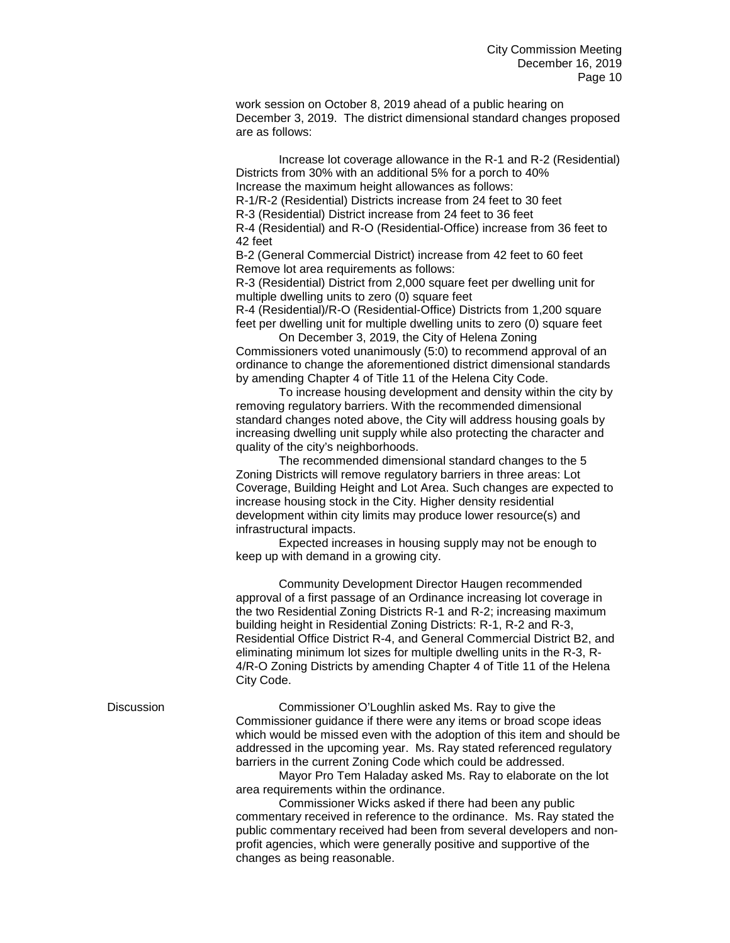work session on October 8, 2019 ahead of a public hearing on December 3, 2019. The district dimensional standard changes proposed are as follows:

Increase lot coverage allowance in the R-1 and R-2 (Residential) Districts from 30% with an additional 5% for a porch to 40% Increase the maximum height allowances as follows:

R-1/R-2 (Residential) Districts increase from 24 feet to 30 feet

R-3 (Residential) District increase from 24 feet to 36 feet

R-4 (Residential) and R-O (Residential-Office) increase from 36 feet to 42 feet

B-2 (General Commercial District) increase from 42 feet to 60 feet Remove lot area requirements as follows:

R-3 (Residential) District from 2,000 square feet per dwelling unit for multiple dwelling units to zero (0) square feet

R-4 (Residential)/R-O (Residential-Office) Districts from 1,200 square feet per dwelling unit for multiple dwelling units to zero (0) square feet

On December 3, 2019, the City of Helena Zoning Commissioners voted unanimously (5:0) to recommend approval of an ordinance to change the aforementioned district dimensional standards by amending Chapter 4 of Title 11 of the Helena City Code.

To increase housing development and density within the city by removing regulatory barriers. With the recommended dimensional standard changes noted above, the City will address housing goals by increasing dwelling unit supply while also protecting the character and quality of the city's neighborhoods.

The recommended dimensional standard changes to the 5 Zoning Districts will remove regulatory barriers in three areas: Lot Coverage, Building Height and Lot Area. Such changes are expected to increase housing stock in the City. Higher density residential development within city limits may produce lower resource(s) and infrastructural impacts.

Expected increases in housing supply may not be enough to keep up with demand in a growing city.

Community Development Director Haugen recommended approval of a first passage of an Ordinance increasing lot coverage in the two Residential Zoning Districts R-1 and R-2; increasing maximum building height in Residential Zoning Districts: R-1, R-2 and R-3, Residential Office District R-4, and General Commercial District B2, and eliminating minimum lot sizes for multiple dwelling units in the R-3, R-4/R-O Zoning Districts by amending Chapter 4 of Title 11 of the Helena City Code.

Discussion Commissioner O'Loughlin asked Ms. Ray to give the Commissioner guidance if there were any items or broad scope ideas which would be missed even with the adoption of this item and should be addressed in the upcoming year. Ms. Ray stated referenced regulatory barriers in the current Zoning Code which could be addressed.

> Mayor Pro Tem Haladay asked Ms. Ray to elaborate on the lot area requirements within the ordinance.

Commissioner Wicks asked if there had been any public commentary received in reference to the ordinance. Ms. Ray stated the public commentary received had been from several developers and nonprofit agencies, which were generally positive and supportive of the changes as being reasonable.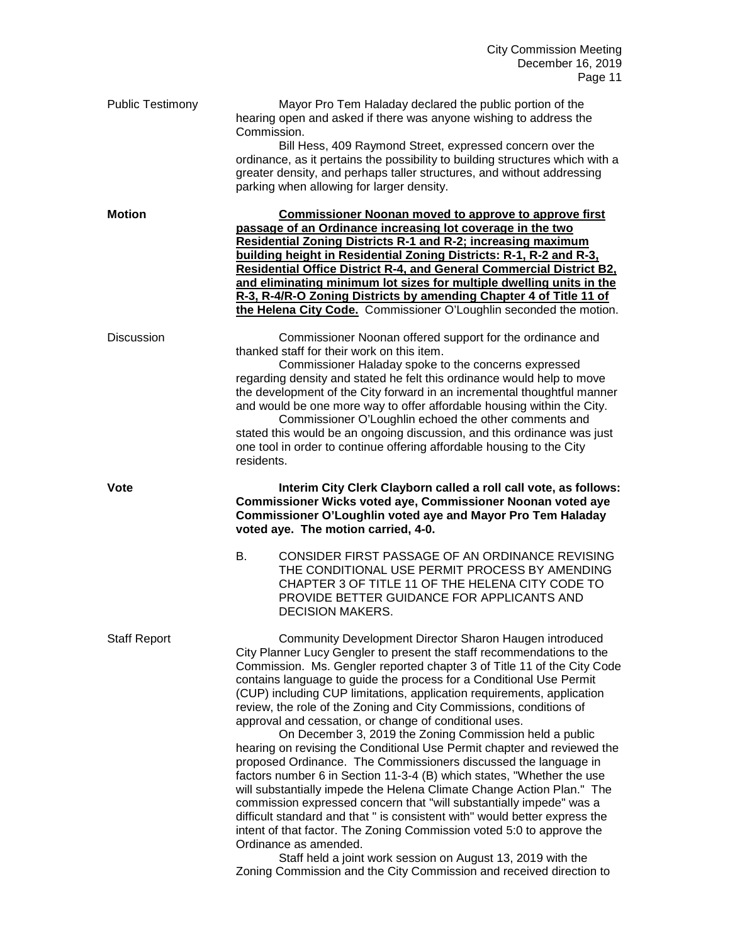| <b>Public Testimony</b> | Mayor Pro Tem Haladay declared the public portion of the<br>hearing open and asked if there was anyone wishing to address the<br>Commission.<br>Bill Hess, 409 Raymond Street, expressed concern over the<br>ordinance, as it pertains the possibility to building structures which with a<br>greater density, and perhaps taller structures, and without addressing<br>parking when allowing for larger density.                                                                                                                                                                                                                                                                                                                                                                                                                                                                                                                                                                                                                                                                                                                                                                                                                                    |
|-------------------------|------------------------------------------------------------------------------------------------------------------------------------------------------------------------------------------------------------------------------------------------------------------------------------------------------------------------------------------------------------------------------------------------------------------------------------------------------------------------------------------------------------------------------------------------------------------------------------------------------------------------------------------------------------------------------------------------------------------------------------------------------------------------------------------------------------------------------------------------------------------------------------------------------------------------------------------------------------------------------------------------------------------------------------------------------------------------------------------------------------------------------------------------------------------------------------------------------------------------------------------------------|
| <b>Motion</b>           | <b>Commissioner Noonan moved to approve to approve first</b><br>passage of an Ordinance increasing lot coverage in the two<br><b>Residential Zoning Districts R-1 and R-2; increasing maximum</b><br>building height in Residential Zoning Districts: R-1, R-2 and R-3,<br>Residential Office District R-4, and General Commercial District B2.<br>and eliminating minimum lot sizes for multiple dwelling units in the<br>R-3, R-4/R-O Zoning Districts by amending Chapter 4 of Title 11 of<br>the Helena City Code. Commissioner O'Loughlin seconded the motion.                                                                                                                                                                                                                                                                                                                                                                                                                                                                                                                                                                                                                                                                                  |
| <b>Discussion</b>       | Commissioner Noonan offered support for the ordinance and<br>thanked staff for their work on this item.<br>Commissioner Haladay spoke to the concerns expressed<br>regarding density and stated he felt this ordinance would help to move<br>the development of the City forward in an incremental thoughtful manner<br>and would be one more way to offer affordable housing within the City.<br>Commissioner O'Loughlin echoed the other comments and<br>stated this would be an ongoing discussion, and this ordinance was just<br>one tool in order to continue offering affordable housing to the City<br>residents.                                                                                                                                                                                                                                                                                                                                                                                                                                                                                                                                                                                                                            |
| <b>Vote</b>             | Interim City Clerk Clayborn called a roll call vote, as follows:<br>Commissioner Wicks voted aye, Commissioner Noonan voted aye<br>Commissioner O'Loughlin voted aye and Mayor Pro Tem Haladay<br>voted aye. The motion carried, 4-0.<br>CONSIDER FIRST PASSAGE OF AN ORDINANCE REVISING<br>В.                                                                                                                                                                                                                                                                                                                                                                                                                                                                                                                                                                                                                                                                                                                                                                                                                                                                                                                                                       |
|                         | THE CONDITIONAL USE PERMIT PROCESS BY AMENDING<br>CHAPTER 3 OF TITLE 11 OF THE HELENA CITY CODE TO<br>PROVIDE BETTER GUIDANCE FOR APPLICANTS AND<br><b>DECISION MAKERS.</b>                                                                                                                                                                                                                                                                                                                                                                                                                                                                                                                                                                                                                                                                                                                                                                                                                                                                                                                                                                                                                                                                          |
| <b>Staff Report</b>     | Community Development Director Sharon Haugen introduced<br>City Planner Lucy Gengler to present the staff recommendations to the<br>Commission. Ms. Gengler reported chapter 3 of Title 11 of the City Code<br>contains language to guide the process for a Conditional Use Permit<br>(CUP) including CUP limitations, application requirements, application<br>review, the role of the Zoning and City Commissions, conditions of<br>approval and cessation, or change of conditional uses.<br>On December 3, 2019 the Zoning Commission held a public<br>hearing on revising the Conditional Use Permit chapter and reviewed the<br>proposed Ordinance. The Commissioners discussed the language in<br>factors number 6 in Section 11-3-4 (B) which states, "Whether the use<br>will substantially impede the Helena Climate Change Action Plan." The<br>commission expressed concern that "will substantially impede" was a<br>difficult standard and that " is consistent with" would better express the<br>intent of that factor. The Zoning Commission voted 5:0 to approve the<br>Ordinance as amended.<br>Staff held a joint work session on August 13, 2019 with the<br>Zoning Commission and the City Commission and received direction to |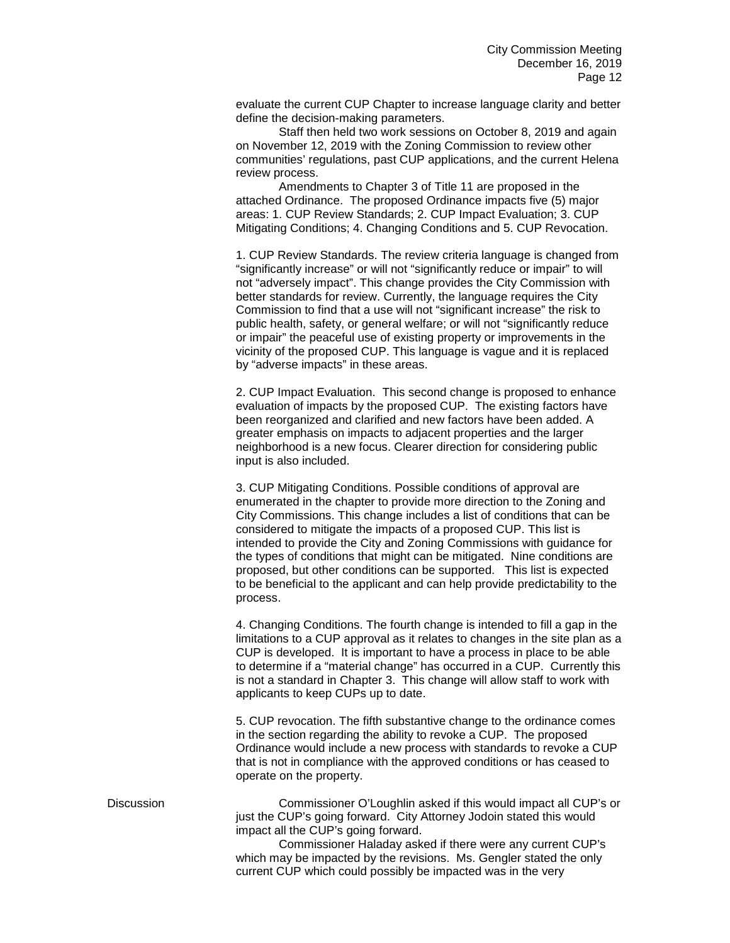evaluate the current CUP Chapter to increase language clarity and better define the decision-making parameters.

Staff then held two work sessions on October 8, 2019 and again on November 12, 2019 with the Zoning Commission to review other communities' regulations, past CUP applications, and the current Helena review process.

Amendments to Chapter 3 of Title 11 are proposed in the attached Ordinance. The proposed Ordinance impacts five (5) major areas: 1. CUP Review Standards; 2. CUP Impact Evaluation; 3. CUP Mitigating Conditions; 4. Changing Conditions and 5. CUP Revocation.

1. CUP Review Standards. The review criteria language is changed from "significantly increase" or will not "significantly reduce or impair" to will not "adversely impact". This change provides the City Commission with better standards for review. Currently, the language requires the City Commission to find that a use will not "significant increase" the risk to public health, safety, or general welfare; or will not "significantly reduce or impair" the peaceful use of existing property or improvements in the vicinity of the proposed CUP. This language is vague and it is replaced by "adverse impacts" in these areas.

2. CUP Impact Evaluation. This second change is proposed to enhance evaluation of impacts by the proposed CUP. The existing factors have been reorganized and clarified and new factors have been added. A greater emphasis on impacts to adjacent properties and the larger neighborhood is a new focus. Clearer direction for considering public input is also included.

3. CUP Mitigating Conditions. Possible conditions of approval are enumerated in the chapter to provide more direction to the Zoning and City Commissions. This change includes a list of conditions that can be considered to mitigate the impacts of a proposed CUP. This list is intended to provide the City and Zoning Commissions with guidance for the types of conditions that might can be mitigated. Nine conditions are proposed, but other conditions can be supported. This list is expected to be beneficial to the applicant and can help provide predictability to the process.

4. Changing Conditions. The fourth change is intended to fill a gap in the limitations to a CUP approval as it relates to changes in the site plan as a CUP is developed. It is important to have a process in place to be able to determine if a "material change" has occurred in a CUP. Currently this is not a standard in Chapter 3. This change will allow staff to work with applicants to keep CUPs up to date.

5. CUP revocation. The fifth substantive change to the ordinance comes in the section regarding the ability to revoke a CUP. The proposed Ordinance would include a new process with standards to revoke a CUP that is not in compliance with the approved conditions or has ceased to operate on the property.

Discussion Commissioner O'Loughlin asked if this would impact all CUP's or just the CUP's going forward. City Attorney Jodoin stated this would impact all the CUP's going forward.

Commissioner Haladay asked if there were any current CUP's which may be impacted by the revisions. Ms. Gengler stated the only current CUP which could possibly be impacted was in the very